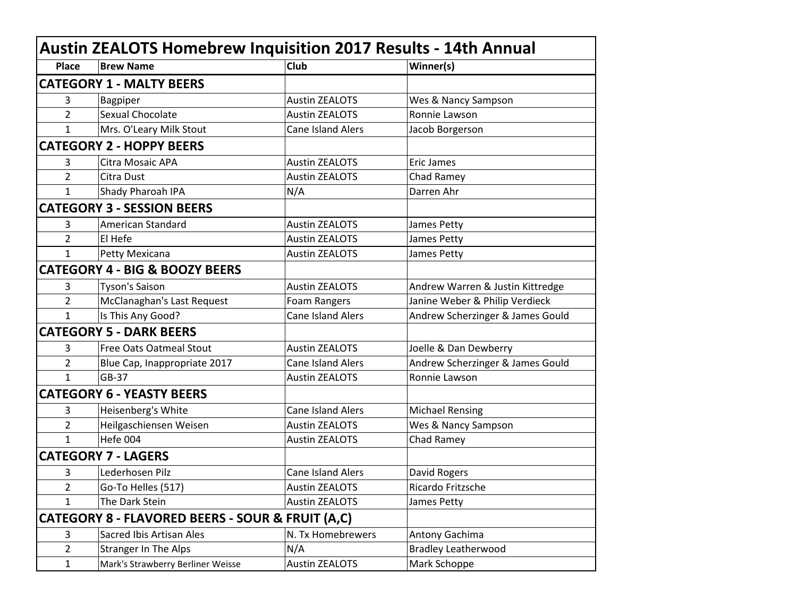| <b>Austin ZEALOTS Homebrew Inquisition 2017 Results - 14th Annual</b> |                                           |                          |                                  |  |
|-----------------------------------------------------------------------|-------------------------------------------|--------------------------|----------------------------------|--|
| <b>Place</b>                                                          | <b>Brew Name</b>                          | Club                     | Winner(s)                        |  |
|                                                                       | <b>CATEGORY 1 - MALTY BEERS</b>           |                          |                                  |  |
| 3                                                                     | Bagpiper                                  | <b>Austin ZEALOTS</b>    | Wes & Nancy Sampson              |  |
| 2                                                                     | Sexual Chocolate                          | <b>Austin ZEALOTS</b>    | Ronnie Lawson                    |  |
| $\mathbf{1}$                                                          | Mrs. O'Leary Milk Stout                   | <b>Cane Island Alers</b> | Jacob Borgerson                  |  |
|                                                                       | <b>CATEGORY 2 - HOPPY BEERS</b>           |                          |                                  |  |
| 3                                                                     | Citra Mosaic APA                          | <b>Austin ZEALOTS</b>    | <b>Eric James</b>                |  |
| 2                                                                     | Citra Dust                                | <b>Austin ZEALOTS</b>    | Chad Ramey                       |  |
| $\mathbf{1}$                                                          | Shady Pharoah IPA                         | N/A                      | Darren Ahr                       |  |
|                                                                       | <b>CATEGORY 3 - SESSION BEERS</b>         |                          |                                  |  |
| 3                                                                     | American Standard                         | <b>Austin ZEALOTS</b>    | James Petty                      |  |
| 2                                                                     | El Hefe                                   | <b>Austin ZEALOTS</b>    | James Petty                      |  |
| $\mathbf{1}$                                                          | Petty Mexicana                            | <b>Austin ZEALOTS</b>    | James Petty                      |  |
|                                                                       | <b>CATEGORY 4 - BIG &amp; BOOZY BEERS</b> |                          |                                  |  |
| 3                                                                     | <b>Tyson's Saison</b>                     | <b>Austin ZEALOTS</b>    | Andrew Warren & Justin Kittredge |  |
| 2                                                                     | McClanaghan's Last Request                | Foam Rangers             | Janine Weber & Philip Verdieck   |  |
| $\mathbf{1}$                                                          | Is This Any Good?                         | <b>Cane Island Alers</b> | Andrew Scherzinger & James Gould |  |
|                                                                       | <b>CATEGORY 5 - DARK BEERS</b>            |                          |                                  |  |
| 3                                                                     | Free Oats Oatmeal Stout                   | <b>Austin ZEALOTS</b>    | Joelle & Dan Dewberry            |  |
| 2                                                                     | Blue Cap, Inappropriate 2017              | <b>Cane Island Alers</b> | Andrew Scherzinger & James Gould |  |
| $\mathbf{1}$                                                          | GB-37                                     | <b>Austin ZEALOTS</b>    | Ronnie Lawson                    |  |
|                                                                       | <b>CATEGORY 6 - YEASTY BEERS</b>          |                          |                                  |  |
| 3                                                                     | Heisenberg's White                        | <b>Cane Island Alers</b> | <b>Michael Rensing</b>           |  |
| 2                                                                     | Heilgaschiensen Weisen                    | <b>Austin ZEALOTS</b>    | Wes & Nancy Sampson              |  |
| $\mathbf{1}$                                                          | Hefe 004                                  | <b>Austin ZEALOTS</b>    | Chad Ramey                       |  |
|                                                                       | <b>CATEGORY 7 - LAGERS</b>                |                          |                                  |  |
| 3                                                                     | Lederhosen Pilz                           | <b>Cane Island Alers</b> | David Rogers                     |  |
| $\overline{\mathbf{c}}$                                               | Go-To Helles (517)                        | <b>Austin ZEALOTS</b>    | Ricardo Fritzsche                |  |
| 1                                                                     | The Dark Stein                            | <b>Austin ZEALOTS</b>    | James Petty                      |  |
| CATEGORY 8 - FLAVORED BEERS - SOUR & FRUIT (A,C)                      |                                           |                          |                                  |  |
| 3                                                                     | Sacred Ibis Artisan Ales                  | N. Tx Homebrewers        | Antony Gachima                   |  |
| $\overline{2}$                                                        | <b>Stranger In The Alps</b>               | N/A                      | <b>Bradley Leatherwood</b>       |  |
| $\mathbf{1}$                                                          | Mark's Strawberry Berliner Weisse         | <b>Austin ZEALOTS</b>    | Mark Schoppe                     |  |